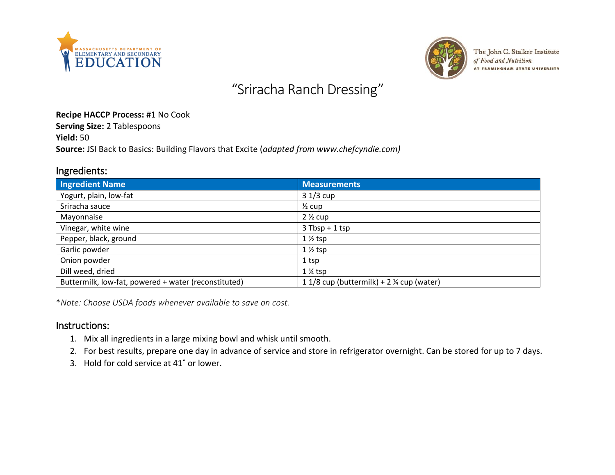



The John C. Stalker Institute of Food and Nutrition AT FRAMINGHAM STATE UNIVERSITY

# "Sriracha Ranch Dressing"

#### **Recipe HACCP Process:** #1 No Cook

**Serving Size:** 2 Tablespoons

**Yield:** 50

**Source:** JSI Back to Basics: Building Flavors that Excite (*adapted from www.chefcyndie.com)*

### Ingredients:

| <b>Ingredient Name</b>                               | <b>Measurements</b>                                  |
|------------------------------------------------------|------------------------------------------------------|
| Yogurt, plain, low-fat                               | $31/3$ cup                                           |
| Sriracha sauce                                       | $\frac{1}{2}$ cup                                    |
| Mayonnaise                                           | $2\frac{1}{2}$ cup                                   |
| Vinegar, white wine                                  | $3$ Tbsp + 1 tsp                                     |
| Pepper, black, ground                                | $1\frac{1}{2}$ tsp                                   |
| Garlic powder                                        | $1\frac{1}{2}$ tsp                                   |
| Onion powder                                         | 1 tsp                                                |
| Dill weed, dried                                     | $1\%$ tsp                                            |
| Buttermilk, low-fat, powered + water (reconstituted) | 1 1/8 cup (buttermilk) + 2 $\frac{1}{2}$ cup (water) |

\**Note: Choose USDA foods whenever available to save on cost.*

#### Instructions:

- 1. Mix all ingredients in a large mixing bowl and whisk until smooth.
- 2. For best results, prepare one day in advance of service and store in refrigerator overnight. Can be stored for up to 7 days.
- 3. Hold for cold service at 41˚ or lower.